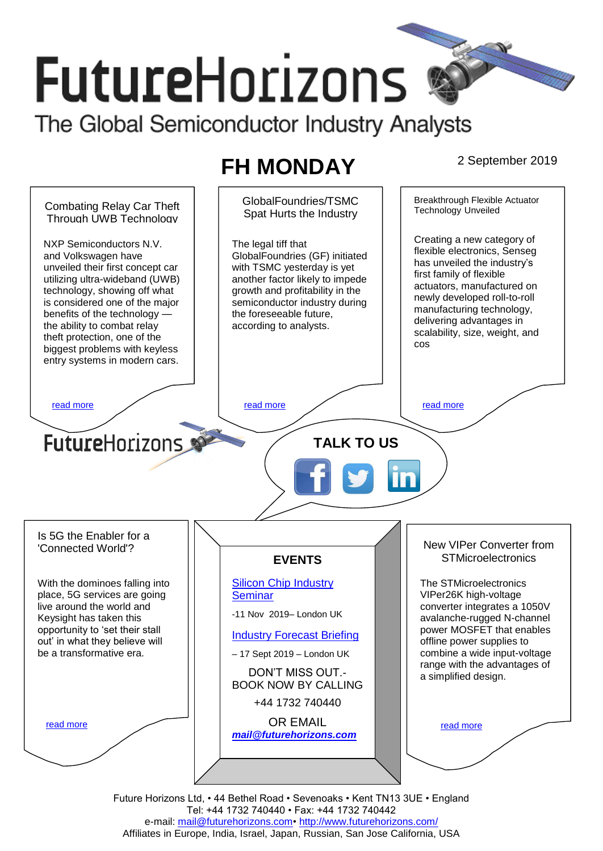# **FutureHorizons**

The Global Semiconductor Industry Analysts

# **FH MONDAY** 2 September 2019



Tel: +44 1732 740440 • Fax: +44 1732 740442 e-mail: mail@futurehorizons.com• http://www.futurehorizons.com/ Affiliates in Europe, India, Israel, Japan, Russian, San Jose California, USA